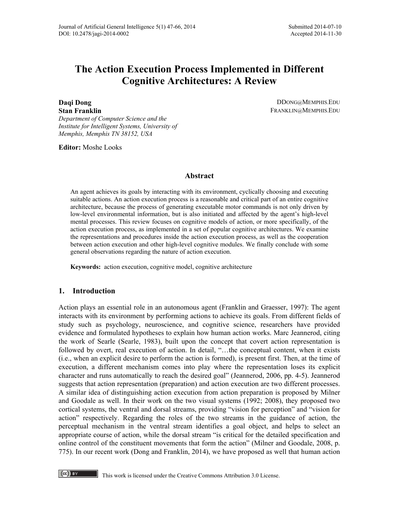# **The Action Execution Process Implemented in Different Cognitive Architectures: A Review**

**Stan Franklin** 

**Daqi Dong** DDONG@MEMPHIS.EDU FRANKLIN@MEMPHIS.EDU

*Department of Computer Science and the Institute for Intelligent Systems, University of Memphis, Memphis TN 38152, USA* 

**Editor:** Moshe Looks

# **Abstract**

An agent achieves its goals by interacting with its environment, cyclically choosing and executing suitable actions. An action execution process is a reasonable and critical part of an entire cognitive architecture, because the process of generating executable motor commands is not only driven by low-level environmental information, but is also initiated and affected by the agent's high-level mental processes. This review focuses on cognitive models of action, or more specifically, of the action execution process, as implemented in a set of popular cognitive architectures. We examine the representations and procedures inside the action execution process, as well as the cooperation between action execution and other high-level cognitive modules. We finally conclude with some general observations regarding the nature of action execution.

**Keywords:** action execution, cognitive model, cognitive architecture

# **1. Introduction**

Action plays an essential role in an autonomous agent (Franklin and Graesser, 1997): The agent interacts with its environment by performing actions to achieve its goals. From different fields of study such as psychology, neuroscience, and cognitive science, researchers have provided evidence and formulated hypotheses to explain how human action works. Marc Jeannerod, citing the work of Searle (Searle, 1983), built upon the concept that covert action representation is followed by overt, real execution of action. In detail, "...the conceptual content, when it exists (i.e., when an explicit desire to perform the action is formed), is present first. Then, at the time of execution, a different mechanism comes into play where the representation loses its explicit character and runs automatically to reach the desired goal" (Jeannerod, 2006, pp. 4-5). Jeannerod suggests that action representation (preparation) and action execution are two different processes. A similar idea of distinguishing action execution from action preparation is proposed by Milner and Goodale as well. In their work on the two visual systems (1992; 2008), they proposed two cortical systems, the ventral and dorsal streams, providing "vision for perception" and "vision for action" respectively. Regarding the roles of the two streams in the guidance of action, the perceptual mechanism in the ventral stream identifies a goal object, and helps to select an appropriate course of action, while the dorsal stream "is critical for the detailed specification and online control of the constituent movements that form the action" (Milner and Goodale, 2008, p. 775). In our recent work (Dong and Franklin, 2014), we have proposed as well that human action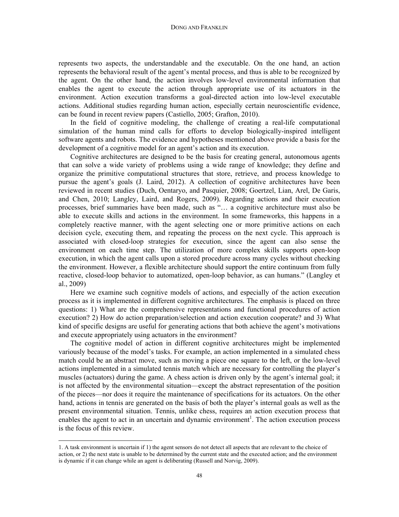#### DONG AND FRANKLIN

represents two aspects, the understandable and the executable. On the one hand, an action represents the behavioral result of the agent's mental process, and thus is able to be recognized by the agent. On the other hand, the action involves low-level environmental information that enables the agent to execute the action through appropriate use of its actuators in the environment. Action execution transforms a goal-directed action into low-level executable actions. Additional studies regarding human action, especially certain neuroscientific evidence, can be found in recent review papers (Castiello, 2005; Grafton, 2010).

In the field of cognitive modeling, the challenge of creating a real-life computational simulation of the human mind calls for efforts to develop biologically-inspired intelligent software agents and robots. The evidence and hypotheses mentioned above provide a basis for the development of a cognitive model for an agent's action and its execution.

Cognitive architectures are designed to be the basis for creating general, autonomous agents that can solve a wide variety of problems using a wide range of knowledge; they define and organize the primitive computational structures that store, retrieve, and process knowledge to pursue the agent's goals (J. Laird, 2012). A collection of cognitive architectures have been reviewed in recent studies (Duch, Oentaryo, and Pasquier, 2008; Goertzel, Lian, Arel, De Garis, and Chen, 2010; Langley, Laird, and Rogers, 2009). Regarding actions and their execution processes, brief summaries have been made, such as "… a cognitive architecture must also be able to execute skills and actions in the environment. In some frameworks, this happens in a completely reactive manner, with the agent selecting one or more primitive actions on each decision cycle, executing them, and repeating the process on the next cycle. This approach is associated with closed-loop strategies for execution, since the agent can also sense the environment on each time step. The utilization of more complex skills supports open-loop execution, in which the agent calls upon a stored procedure across many cycles without checking the environment. However, a flexible architecture should support the entire continuum from fully reactive, closed-loop behavior to automatized, open-loop behavior, as can humans." (Langley et al., 2009)

Here we examine such cognitive models of actions, and especially of the action execution process as it is implemented in different cognitive architectures. The emphasis is placed on three questions: 1) What are the comprehensive representations and functional procedures of action execution? 2) How do action preparation/selection and action execution cooperate? and 3) What kind of specific designs are useful for generating actions that both achieve the agent's motivations and execute appropriately using actuators in the environment?

The cognitive model of action in different cognitive architectures might be implemented variously because of the model's tasks. For example, an action implemented in a simulated chess match could be an abstract move, such as moving a piece one square to the left, or the low-level actions implemented in a simulated tennis match which are necessary for controlling the player's muscles (actuators) during the game. A chess action is driven only by the agent's internal goal; it is not affected by the environmental situation—except the abstract representation of the position of the pieces—nor does it require the maintenance of specifications for its actuators. On the other hand, actions in tennis are generated on the basis of both the player's internal goals as well as the present environmental situation. Tennis, unlike chess, requires an action execution process that enables the agent to act in an uncertain and dynamic environment<sup>1</sup>. The action execution process is the focus of this review.

1

<sup>1.</sup> A task environment is uncertain if 1) the agent sensors do not detect all aspects that are relevant to the choice of action, or 2) the next state is unable to be determined by the current state and the executed action; and the environment is dynamic if it can change while an agent is deliberating (Russell and Norvig, 2009).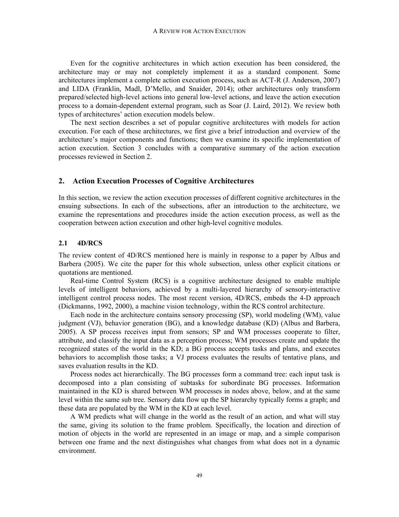Even for the cognitive architectures in which action execution has been considered, the architecture may or may not completely implement it as a standard component. Some architectures implement a complete action execution process, such as ACT-R (J. Anderson, 2007) and LIDA (Franklin, Madl, D'Mello, and Snaider, 2014); other architectures only transform prepared/selected high-level actions into general low-level actions, and leave the action execution process to a domain-dependent external program, such as Soar (J. Laird, 2012). We review both types of architectures' action execution models below.

The next section describes a set of popular cognitive architectures with models for action execution. For each of these architectures, we first give a brief introduction and overview of the architecture's major components and functions; then we examine its specific implementation of action execution. Section 3 concludes with a comparative summary of the action execution processes reviewed in Section 2.

### **2. Action Execution Processes of Cognitive Architectures**

In this section, we review the action execution processes of different cognitive architectures in the ensuing subsections. In each of the subsections, after an introduction to the architecture, we examine the representations and procedures inside the action execution process, as well as the cooperation between action execution and other high-level cognitive modules.

## **2.1 4D/RCS**

The review content of 4D/RCS mentioned here is mainly in response to a paper by Albus and Barbera (2005). We cite the paper for this whole subsection, unless other explicit citations or quotations are mentioned.

Real-time Control System (RCS) is a cognitive architecture designed to enable multiple levels of intelligent behaviors, achieved by a multi-layered hierarchy of sensory-interactive intelligent control process nodes. The most recent version, 4D/RCS, embeds the 4-D approach (Dickmanns, 1992, 2000), a machine vision technology, within the RCS control architecture.

Each node in the architecture contains sensory processing (SP), world modeling (WM), value judgment (VJ), behavior generation (BG), and a knowledge database (KD) (Albus and Barbera, 2005). A SP process receives input from sensors; SP and WM processes cooperate to filter, attribute, and classify the input data as a perception process; WM processes create and update the recognized states of the world in the KD; a BG process accepts tasks and plans, and executes behaviors to accomplish those tasks; a VJ process evaluates the results of tentative plans, and saves evaluation results in the KD.

Process nodes act hierarchically. The BG processes form a command tree: each input task is decomposed into a plan consisting of subtasks for subordinate BG processes. Information maintained in the KD is shared between WM processes in nodes above, below, and at the same level within the same sub tree. Sensory data flow up the SP hierarchy typically forms a graph; and these data are populated by the WM in the KD at each level.

A WM predicts what will change in the world as the result of an action, and what will stay the same, giving its solution to the frame problem. Specifically, the location and direction of motion of objects in the world are represented in an image or map, and a simple comparison between one frame and the next distinguishes what changes from what does not in a dynamic environment.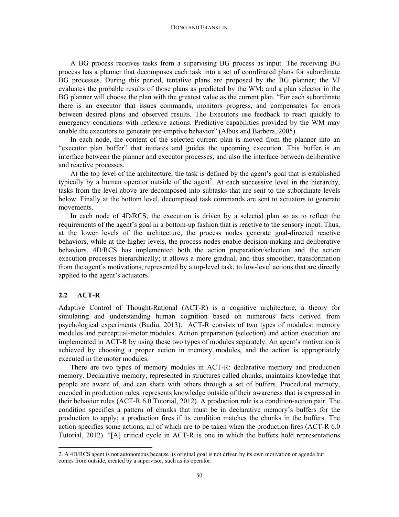#### DONG AND FRANKLIN

A BG process receives tasks from a supervising BG process as input. The receiving BG process has a planner that decomposes each task into a set of coordinated plans for subordinate BG processes. During this period, tentative plans are proposed by the BG planner; the VJ evaluates the probable results of those plans as predicted by the WM; and a plan selector in the BG planner will choose the plan with the greatest value as the current plan. "For each subordinate there is an executor that issues commands, monitors progress, and compensates for errors between desired plans and observed results. The Executors use feedback to react quickly to emergency conditions with reflexive actions. Predictive capabilities provided by the WM may enable the executors to generate pre-emptive behavior" (Albus and Barbera, 2005).

In each node, the content of the selected current plan is moved from the planner into an "executor plan buffer" that initiates and guides the upcoming execution. This buffer is an interface between the planner and executor processes, and also the interface between deliberative and reactive processes.

At the top level of the architecture, the task is defined by the agent's goal that is established typically by a human operator outside of the agent<sup>2</sup>. At each successive level in the hierarchy, tasks from the level above are decomposed into subtasks that are sent to the subordinate levels below. Finally at the bottom level, decomposed task commands are sent to actuators to generate movements.

In each node of 4D/RCS, the execution is driven by a selected plan so as to reflect the requirements of the agent's goal in a bottom-up fashion that is reactive to the sensory input. Thus, at the lower levels of the architecture, the process nodes generate goal-directed reactive behaviors, while at the higher levels, the process nodes enable decision-making and deliberative behaviors. 4D/RCS has implemented both the action preparation/selection and the action execution processes hierarchically; it allows a more gradual, and thus smoother, transformation from the agent's motivations, represented by a top-level task, to low-level actions that are directly applied to the agent's actuators.

#### **2.2 ACT-R**

-

Adaptive Control of Thought-Rational (ACT-R) is a cognitive architecture, a theory for simulating and understanding human cognition based on numerous facts derived from psychological experiments (Budiu, 2013). ACT-R consists of two types of modules: memory modules and perceptual-motor modules. Action preparation (selection) and action execution are implemented in ACT-R by using these two types of modules separately. An agent's motivation is achieved by choosing a proper action in memory modules, and the action is appropriately executed in the motor modules.

There are two types of memory modules in ACT-R: declarative memory and production memory. Declarative memory, represented in structures called chunks, maintains knowledge that people are aware of, and can share with others through a set of buffers. Procedural memory, encoded in production rules, represents knowledge outside of their awareness that is expressed in their behavior rules (ACT-R 6.0 Tutorial, 2012). A production rule is a condition-action pair. The condition specifies a pattern of chunks that must be in declarative memory's buffers for the production to apply; a production fires if its condition matches the chunks in the buffers. The action specifies some actions, all of which are to be taken when the production fires (ACT-R 6.0 Tutorial, 2012). "[A] critical cycle in ACT-R is one in which the buffers hold representations

<sup>2.</sup> A 4D/RCS agent is not autonomous because its original goal is not driven by its own motivation or agenda but comes from outside, created by a supervisor, such as its operator.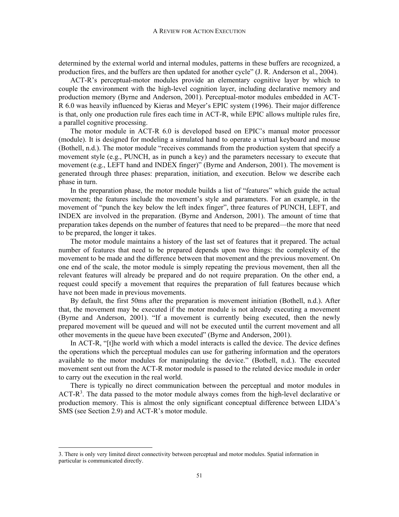determined by the external world and internal modules, patterns in these buffers are recognized, a production fires, and the buffers are then updated for another cycle" (J. R. Anderson et al., 2004).

ACT-R's perceptual-motor modules provide an elementary cognitive layer by which to couple the environment with the high-level cognition layer, including declarative memory and production memory (Byrne and Anderson, 2001). Perceptual-motor modules embedded in ACT-R 6.0 was heavily influenced by Kieras and Meyer's EPIC system (1996). Their major difference is that, only one production rule fires each time in ACT-R, while EPIC allows multiple rules fire, a parallel cognitive processing.

The motor module in ACT-R 6.0 is developed based on EPIC's manual motor processor (module). It is designed for modeling a simulated hand to operate a virtual keyboard and mouse (Bothell, n.d.). The motor module "receives commands from the production system that specify a movement style (e.g., PUNCH, as in punch a key) and the parameters necessary to execute that movement (e.g., LEFT hand and INDEX finger)" (Byrne and Anderson, 2001). The movement is generated through three phases: preparation, initiation, and execution. Below we describe each phase in turn.

In the preparation phase, the motor module builds a list of "features" which guide the actual movement; the features include the movement's style and parameters. For an example, in the movement of "punch the key below the left index finger", three features of PUNCH, LEFT, and INDEX are involved in the preparation. (Byrne and Anderson, 2001). The amount of time that preparation takes depends on the number of features that need to be prepared—the more that need to be prepared, the longer it takes.

The motor module maintains a history of the last set of features that it prepared. The actual number of features that need to be prepared depends upon two things: the complexity of the movement to be made and the difference between that movement and the previous movement. On one end of the scale, the motor module is simply repeating the previous movement, then all the relevant features will already be prepared and do not require preparation. On the other end, a request could specify a movement that requires the preparation of full features because which have not been made in previous movements.

By default, the first 50ms after the preparation is movement initiation (Bothell, n.d.). After that, the movement may be executed if the motor module is not already executing a movement (Byrne and Anderson, 2001). "If a movement is currently being executed, then the newly prepared movement will be queued and will not be executed until the current movement and all other movements in the queue have been executed" (Byrne and Anderson, 2001).

In ACT-R, "[t]he world with which a model interacts is called the device. The device defines the operations which the perceptual modules can use for gathering information and the operators available to the motor modules for manipulating the device." (Bothell, n.d.). The executed movement sent out from the ACT-R motor module is passed to the related device module in order to carry out the execution in the real world.

There is typically no direct communication between the perceptual and motor modules in  $ACT-R<sup>3</sup>$ . The data passed to the motor module always comes from the high-level declarative or production memory. This is almost the only significant conceptual difference between LIDA's SMS (see Section 2.9) and ACT-R's motor module.

l

<sup>3.</sup> There is only very limited direct connectivity between perceptual and motor modules. Spatial information in particular is communicated directly.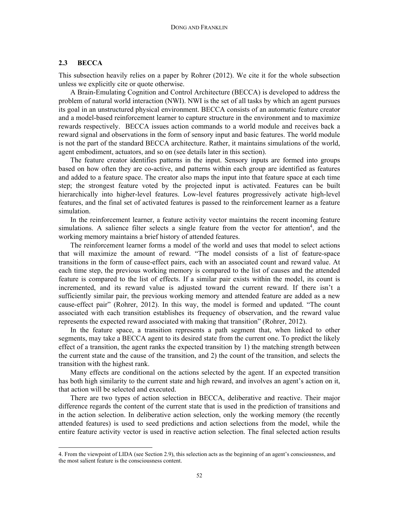### **2.3 BECCA**

l

This subsection heavily relies on a paper by Rohrer (2012). We cite it for the whole subsection unless we explicitly cite or quote otherwise.

A Brain-Emulating Cognition and Control Architecture (BECCA) is developed to address the problem of natural world interaction (NWI). NWI is the set of all tasks by which an agent pursues its goal in an unstructured physical environment. BECCA consists of an automatic feature creator and a model-based reinforcement learner to capture structure in the environment and to maximize rewards respectively. BECCA issues action commands to a world module and receives back a reward signal and observations in the form of sensory input and basic features. The world module is not the part of the standard BECCA architecture. Rather, it maintains simulations of the world, agent embodiment, actuators, and so on (see details later in this section).

The feature creator identifies patterns in the input. Sensory inputs are formed into groups based on how often they are co-active, and patterns within each group are identified as features and added to a feature space. The creator also maps the input into that feature space at each time step; the strongest feature voted by the projected input is activated. Features can be built hierarchically into higher-level features. Low-level features progressively activate high-level features, and the final set of activated features is passed to the reinforcement learner as a feature simulation.

In the reinforcement learner, a feature activity vector maintains the recent incoming feature simulations. A salience filter selects a single feature from the vector for attention<sup>4</sup>, and the working memory maintains a brief history of attended features.

The reinforcement learner forms a model of the world and uses that model to select actions that will maximize the amount of reward. "The model consists of a list of feature-space transitions in the form of cause-effect pairs, each with an associated count and reward value. At each time step, the previous working memory is compared to the list of causes and the attended feature is compared to the list of effects. If a similar pair exists within the model, its count is incremented, and its reward value is adjusted toward the current reward. If there isn't a sufficiently similar pair, the previous working memory and attended feature are added as a new cause-effect pair" (Rohrer, 2012). In this way, the model is formed and updated. "The count associated with each transition establishes its frequency of observation, and the reward value represents the expected reward associated with making that transition" (Rohrer, 2012).

In the feature space, a transition represents a path segment that, when linked to other segments, may take a BECCA agent to its desired state from the current one. To predict the likely effect of a transition, the agent ranks the expected transition by 1) the matching strength between the current state and the cause of the transition, and 2) the count of the transition, and selects the transition with the highest rank.

Many effects are conditional on the actions selected by the agent. If an expected transition has both high similarity to the current state and high reward, and involves an agent's action on it, that action will be selected and executed.

There are two types of action selection in BECCA, deliberative and reactive. Their major difference regards the content of the current state that is used in the prediction of transitions and in the action selection. In deliberative action selection, only the working memory (the recently attended features) is used to seed predictions and action selections from the model, while the entire feature activity vector is used in reactive action selection. The final selected action results

<sup>4.</sup> From the viewpoint of LIDA (see Section 2.9), this selection acts as the beginning of an agent's consciousness, and the most salient feature is the consciousness content.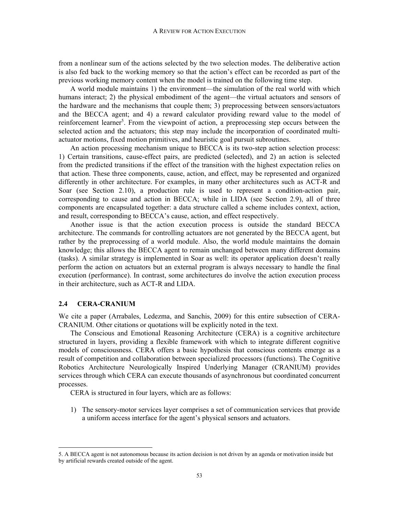from a nonlinear sum of the actions selected by the two selection modes. The deliberative action is also fed back to the working memory so that the action's effect can be recorded as part of the previous working memory content when the model is trained on the following time step.

A world module maintains 1) the environment—the simulation of the real world with which humans interact; 2) the physical embodiment of the agent—the virtual actuators and sensors of the hardware and the mechanisms that couple them; 3) preprocessing between sensors/actuators and the BECCA agent; and 4) a reward calculator providing reward value to the model of reinforcement learner<sup>5</sup>. From the viewpoint of action, a preprocessing step occurs between the selected action and the actuators; this step may include the incorporation of coordinated multiactuator motions, fixed motion primitives, and heuristic goal pursuit subroutines.

An action processing mechanism unique to BECCA is its two-step action selection process: 1) Certain transitions, cause-effect pairs, are predicted (selected), and 2) an action is selected from the predicted transitions if the effect of the transition with the highest expectation relies on that action. These three components, cause, action, and effect, may be represented and organized differently in other architecture. For examples, in many other architectures such as ACT-R and Soar (see Section 2.10), a production rule is used to represent a condition-action pair, corresponding to cause and action in BECCA; while in LIDA (see Section 2.9), all of three components are encapsulated together: a data structure called a scheme includes context, action, and result, corresponding to BECCA's cause, action, and effect respectively.

Another issue is that the action execution process is outside the standard BECCA architecture. The commands for controlling actuators are not generated by the BECCA agent, but rather by the preprocessing of a world module. Also, the world module maintains the domain knowledge; this allows the BECCA agent to remain unchanged between many different domains (tasks). A similar strategy is implemented in Soar as well: its operator application doesn't really perform the action on actuators but an external program is always necessary to handle the final execution (performance). In contrast, some architectures do involve the action execution process in their architecture, such as ACT-R and LIDA.

#### **2.4 CERA-CRANIUM**

-

We cite a paper (Arrabales, Ledezma, and Sanchis, 2009) for this entire subsection of CERA-CRANIUM. Other citations or quotations will be explicitly noted in the text.

The Conscious and Emotional Reasoning Architecture (CERA) is a cognitive architecture structured in layers, providing a flexible framework with which to integrate different cognitive models of consciousness. CERA offers a basic hypothesis that conscious contents emerge as a result of competition and collaboration between specialized processors (functions). The Cognitive Robotics Architecture Neurologically Inspired Underlying Manager (CRANIUM) provides services through which CERA can execute thousands of asynchronous but coordinated concurrent processes.

CERA is structured in four layers, which are as follows:

1) The sensory-motor services layer comprises a set of communication services that provide a uniform access interface for the agent's physical sensors and actuators.

<sup>5.</sup> A BECCA agent is not autonomous because its action decision is not driven by an agenda or motivation inside but by artificial rewards created outside of the agent.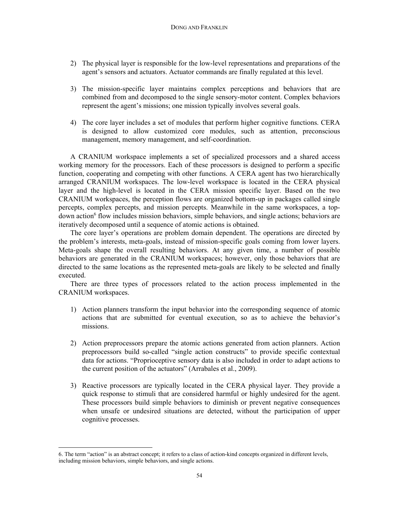- 2) The physical layer is responsible for the low-level representations and preparations of the agent's sensors and actuators. Actuator commands are finally regulated at this level.
- 3) The mission-specific layer maintains complex perceptions and behaviors that are combined from and decomposed to the single sensory-motor content. Complex behaviors represent the agent's missions; one mission typically involves several goals.
- 4) The core layer includes a set of modules that perform higher cognitive functions. CERA is designed to allow customized core modules, such as attention, preconscious management, memory management, and self-coordination.

A CRANIUM workspace implements a set of specialized processors and a shared access working memory for the processors. Each of these processors is designed to perform a specific function, cooperating and competing with other functions. A CERA agent has two hierarchically arranged CRANIUM workspaces. The low-level workspace is located in the CERA physical layer and the high-level is located in the CERA mission specific layer. Based on the two CRANIUM workspaces, the perception flows are organized bottom-up in packages called single percepts, complex percepts, and mission percepts. Meanwhile in the same workspaces, a topdown action<sup>6</sup> flow includes mission behaviors, simple behaviors, and single actions; behaviors are iteratively decomposed until a sequence of atomic actions is obtained.

The core layer's operations are problem domain dependent. The operations are directed by the problem's interests, meta-goals, instead of mission-specific goals coming from lower layers. Meta-goals shape the overall resulting behaviors. At any given time, a number of possible behaviors are generated in the CRANIUM workspaces; however, only those behaviors that are directed to the same locations as the represented meta-goals are likely to be selected and finally executed.

There are three types of processors related to the action process implemented in the CRANIUM workspaces.

- 1) Action planners transform the input behavior into the corresponding sequence of atomic actions that are submitted for eventual execution, so as to achieve the behavior's missions.
- 2) Action preprocessors prepare the atomic actions generated from action planners. Action preprocessors build so-called "single action constructs" to provide specific contextual data for actions. "Proprioceptive sensory data is also included in order to adapt actions to the current position of the actuators" (Arrabales et al., 2009).
- 3) Reactive processors are typically located in the CERA physical layer. They provide a quick response to stimuli that are considered harmful or highly undesired for the agent. These processors build simple behaviors to diminish or prevent negative consequences when unsafe or undesired situations are detected, without the participation of upper cognitive processes.

l

<sup>6.</sup> The term "action" is an abstract concept; it refers to a class of action-kind concepts organized in different levels, including mission behaviors, simple behaviors, and single actions.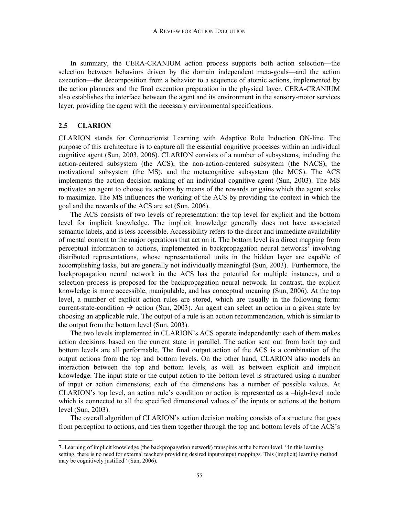In summary, the CERA-CRANIUM action process supports both action selection—the selection between behaviors driven by the domain independent meta-goals—and the action execution—the decomposition from a behavior to a sequence of atomic actions, implemented by the action planners and the final execution preparation in the physical layer. CERA-CRANIUM also establishes the interface between the agent and its environment in the sensory-motor services layer, providing the agent with the necessary environmental specifications.

### **2.5 CLARION**

1

CLARION stands for Connectionist Learning with Adaptive Rule Induction ON-line. The purpose of this architecture is to capture all the essential cognitive processes within an individual cognitive agent (Sun, 2003, 2006). CLARION consists of a number of subsystems, including the action-centered subsystem (the ACS), the non-action-centered subsystem (the NACS), the motivational subsystem (the MS), and the metacognitive subsystem (the MCS). The ACS implements the action decision making of an individual cognitive agent (Sun, 2003). The MS motivates an agent to choose its actions by means of the rewards or gains which the agent seeks to maximize. The MS influences the working of the ACS by providing the context in which the goal and the rewards of the ACS are set (Sun, 2006).

The ACS consists of two levels of representation: the top level for explicit and the bottom level for implicit knowledge. The implicit knowledge generally does not have associated semantic labels, and is less accessible. Accessibility refers to the direct and immediate availability of mental content to the major operations that act on it. The bottom level is a direct mapping from perceptual information to actions, implemented in backpropagation neural networks<sup>7</sup> involving distributed representations, whose representational units in the hidden layer are capable of accomplishing tasks, but are generally not individually meaningful (Sun, 2003). Furthermore, the backpropagation neural network in the ACS has the potential for multiple instances, and a selection process is proposed for the backpropagation neural network. In contrast, the explicit knowledge is more accessible, manipulable, and has conceptual meaning (Sun, 2006). At the top level, a number of explicit action rules are stored, which are usually in the following form: current-state-condition  $\rightarrow$  action (Sun, 2003). An agent can select an action in a given state by choosing an applicable rule. The output of a rule is an action recommendation, which is similar to the output from the bottom level (Sun, 2003).

The two levels implemented in CLARION's ACS operate independently: each of them makes action decisions based on the current state in parallel. The action sent out from both top and bottom levels are all performable. The final output action of the ACS is a combination of the output actions from the top and bottom levels. On the other hand, CLARION also models an interaction between the top and bottom levels, as well as between explicit and implicit knowledge. The input state or the output action to the bottom level is structured using a number of input or action dimensions; each of the dimensions has a number of possible values. At CLARION's top level, an action rule's condition or action is represented as a –high-level node which is connected to all the specified dimensional values of the inputs or actions at the bottom level (Sun, 2003).

The overall algorithm of CLARION's action decision making consists of a structure that goes from perception to actions, and ties them together through the top and bottom levels of the ACS's

<sup>7.</sup> Learning of implicit knowledge (the backpropagation network) transpires at the bottom level. "In this learning setting, there is no need for external teachers providing desired input/output mappings. This (implicit) learning method may be cognitively justified" (Sun, 2006).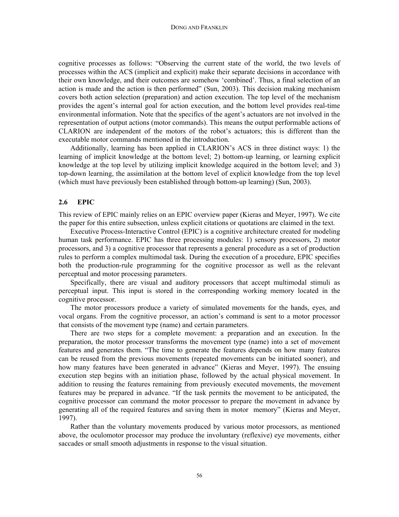cognitive processes as follows: "Observing the current state of the world, the two levels of processes within the ACS (implicit and explicit) make their separate decisions in accordance with their own knowledge, and their outcomes are somehow 'combined'. Thus, a final selection of an action is made and the action is then performed" (Sun, 2003). This decision making mechanism covers both action selection (preparation) and action execution. The top level of the mechanism provides the agent's internal goal for action execution, and the bottom level provides real-time environmental information. Note that the specifics of the agent's actuators are not involved in the representation of output actions (motor commands). This means the output performable actions of CLARION are independent of the motors of the robot's actuators; this is different than the executable motor commands mentioned in the introduction.

Additionally, learning has been applied in CLARION's ACS in three distinct ways: 1) the learning of implicit knowledge at the bottom level; 2) bottom-up learning, or learning explicit knowledge at the top level by utilizing implicit knowledge acquired in the bottom level; and 3) top-down learning, the assimilation at the bottom level of explicit knowledge from the top level (which must have previously been established through bottom-up learning) (Sun, 2003).

## **2.6 EPIC**

This review of EPIC mainly relies on an EPIC overview paper (Kieras and Meyer, 1997). We cite the paper for this entire subsection, unless explicit citations or quotations are claimed in the text.

Executive Process-Interactive Control (EPIC) is a cognitive architecture created for modeling human task performance. EPIC has three processing modules: 1) sensory processors, 2) motor processors, and 3) a cognitive processor that represents a general procedure as a set of production rules to perform a complex multimodal task. During the execution of a procedure, EPIC specifies both the production-rule programming for the cognitive processor as well as the relevant perceptual and motor processing parameters.

Specifically, there are visual and auditory processors that accept multimodal stimuli as perceptual input. This input is stored in the corresponding working memory located in the cognitive processor.

The motor processors produce a variety of simulated movements for the hands, eyes, and vocal organs. From the cognitive processor, an action's command is sent to a motor processor that consists of the movement type (name) and certain parameters.

There are two steps for a complete movement: a preparation and an execution. In the preparation, the motor processor transforms the movement type (name) into a set of movement features and generates them. "The time to generate the features depends on how many features can be reused from the previous movements (repeated movements can be initiated sooner), and how many features have been generated in advance" (Kieras and Meyer, 1997). The ensuing execution step begins with an initiation phase, followed by the actual physical movement. In addition to reusing the features remaining from previously executed movements, the movement features may be prepared in advance. "If the task permits the movement to be anticipated, the cognitive processor can command the motor processor to prepare the movement in advance by generating all of the required features and saving them in motor memory" (Kieras and Meyer, 1997).

Rather than the voluntary movements produced by various motor processors, as mentioned above, the oculomotor processor may produce the involuntary (reflexive) eye movements, either saccades or small smooth adjustments in response to the visual situation.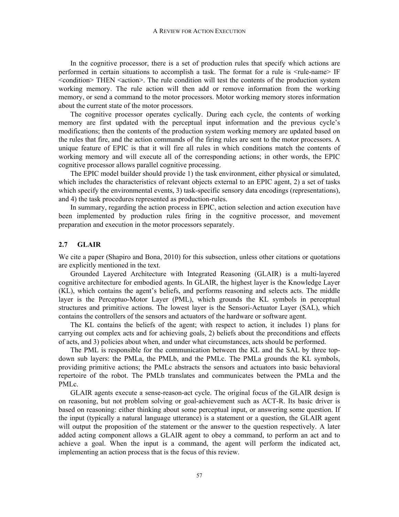In the cognitive processor, there is a set of production rules that specify which actions are performed in certain situations to accomplish a task. The format for a rule is <rule-name> IF <condition> THEN <action>. The rule condition will test the contents of the production system working memory. The rule action will then add or remove information from the working memory, or send a command to the motor processors. Motor working memory stores information about the current state of the motor processors.

The cognitive processor operates cyclically. During each cycle, the contents of working memory are first updated with the perceptual input information and the previous cycle's modifications; then the contents of the production system working memory are updated based on the rules that fire, and the action commands of the firing rules are sent to the motor processors. A unique feature of EPIC is that it will fire all rules in which conditions match the contents of working memory and will execute all of the corresponding actions; in other words, the EPIC cognitive processor allows parallel cognitive processing.

The EPIC model builder should provide 1) the task environment, either physical or simulated, which includes the characteristics of relevant objects external to an EPIC agent, 2) a set of tasks which specify the environmental events, 3) task-specific sensory data encodings (representations), and 4) the task procedures represented as production-rules.

In summary, regarding the action process in EPIC, action selection and action execution have been implemented by production rules firing in the cognitive processor, and movement preparation and execution in the motor processors separately.

## **2.7 GLAIR**

We cite a paper (Shapiro and Bona, 2010) for this subsection, unless other citations or quotations are explicitly mentioned in the text.

Grounded Layered Architecture with Integrated Reasoning (GLAIR) is a multi-layered cognitive architecture for embodied agents. In GLAIR, the highest layer is the Knowledge Layer (KL), which contains the agent's beliefs, and performs reasoning and selects acts. The middle layer is the Perceptuo-Motor Layer (PML), which grounds the KL symbols in perceptual structures and primitive actions. The lowest layer is the Sensori-Actuator Layer (SAL), which contains the controllers of the sensors and actuators of the hardware or software agent.

The KL contains the beliefs of the agent; with respect to action, it includes 1) plans for carrying out complex acts and for achieving goals, 2) beliefs about the preconditions and effects of acts, and 3) policies about when, and under what circumstances, acts should be performed.

The PML is responsible for the communication between the KL and the SAL by three topdown sub layers: the PMLa, the PMLb, and the PMLc. The PMLa grounds the KL symbols, providing primitive actions; the PMLc abstracts the sensors and actuators into basic behavioral repertoire of the robot. The PMLb translates and communicates between the PMLa and the PMLc.

GLAIR agents execute a sense-reason-act cycle. The original focus of the GLAIR design is on reasoning, but not problem solving or goal-achievement such as ACT-R. Its basic driver is based on reasoning: either thinking about some perceptual input, or answering some question. If the input (typically a natural language utterance) is a statement or a question, the GLAIR agent will output the proposition of the statement or the answer to the question respectively. A later added acting component allows a GLAIR agent to obey a command, to perform an act and to achieve a goal. When the input is a command, the agent will perform the indicated act, implementing an action process that is the focus of this review.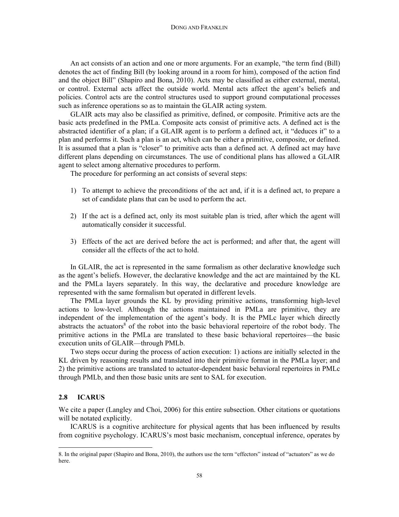An act consists of an action and one or more arguments. For an example, "the term find (Bill) denotes the act of finding Bill (by looking around in a room for him), composed of the action find and the object Bill" (Shapiro and Bona, 2010). Acts may be classified as either external, mental, or control. External acts affect the outside world. Mental acts affect the agent's beliefs and policies. Control acts are the control structures used to support ground computational processes such as inference operations so as to maintain the GLAIR acting system.

GLAIR acts may also be classified as primitive, defined, or composite. Primitive acts are the basic acts predefined in the PMLa. Composite acts consist of primitive acts. A defined act is the abstracted identifier of a plan; if a GLAIR agent is to perform a defined act, it "deduces it" to a plan and performs it. Such a plan is an act, which can be either a primitive, composite, or defined. It is assumed that a plan is "closer" to primitive acts than a defined act. A defined act may have different plans depending on circumstances. The use of conditional plans has allowed a GLAIR agent to select among alternative procedures to perform.

The procedure for performing an act consists of several steps:

- 1) To attempt to achieve the preconditions of the act and, if it is a defined act, to prepare a set of candidate plans that can be used to perform the act.
- 2) If the act is a defined act, only its most suitable plan is tried, after which the agent will automatically consider it successful.
- 3) Effects of the act are derived before the act is performed; and after that, the agent will consider all the effects of the act to hold.

In GLAIR, the act is represented in the same formalism as other declarative knowledge such as the agent's beliefs. However, the declarative knowledge and the act are maintained by the KL and the PMLa layers separately. In this way, the declarative and procedure knowledge are represented with the same formalism but operated in different levels.

The PMLa layer grounds the KL by providing primitive actions, transforming high-level actions to low-level. Although the actions maintained in PMLa are primitive, they are independent of the implementation of the agent's body. It is the PMLc layer which directly abstracts the actuators<sup>8</sup> of the robot into the basic behavioral repertoire of the robot body. The primitive actions in the PMLa are translated to these basic behavioral repertoires—the basic execution units of GLAIR—through PMLb.

Two steps occur during the process of action execution: 1) actions are initially selected in the KL driven by reasoning results and translated into their primitive format in the PMLa layer; and 2) the primitive actions are translated to actuator-dependent basic behavioral repertoires in PMLc through PMLb, and then those basic units are sent to SAL for execution.

# **2.8 ICARUS**

l

We cite a paper (Langley and Choi, 2006) for this entire subsection. Other citations or quotations will be notated explicitly.

ICARUS is a cognitive architecture for physical agents that has been influenced by results from cognitive psychology. ICARUS's most basic mechanism, conceptual inference, operates by

<sup>8.</sup> In the original paper (Shapiro and Bona, 2010), the authors use the term "effectors" instead of "actuators" as we do here.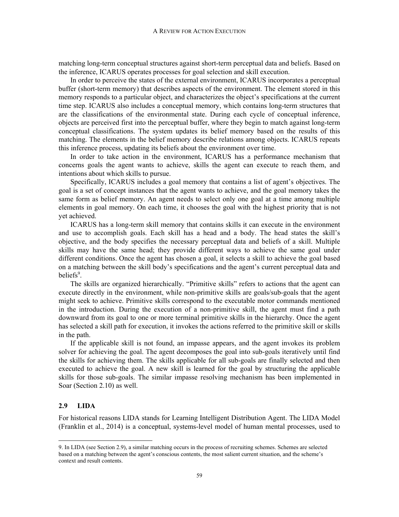matching long-term conceptual structures against short-term perceptual data and beliefs. Based on the inference, ICARUS operates processes for goal selection and skill execution.

In order to perceive the states of the external environment, ICARUS incorporates a perceptual buffer (short-term memory) that describes aspects of the environment. The element stored in this memory responds to a particular object, and characterizes the object's specifications at the current time step. ICARUS also includes a conceptual memory, which contains long-term structures that are the classifications of the environmental state. During each cycle of conceptual inference, objects are perceived first into the perceptual buffer, where they begin to match against long-term conceptual classifications. The system updates its belief memory based on the results of this matching. The elements in the belief memory describe relations among objects. ICARUS repeats this inference process, updating its beliefs about the environment over time.

In order to take action in the environment, ICARUS has a performance mechanism that concerns goals the agent wants to achieve, skills the agent can execute to reach them, and intentions about which skills to pursue.

Specifically, ICARUS includes a goal memory that contains a list of agent's objectives. The goal is a set of concept instances that the agent wants to achieve, and the goal memory takes the same form as belief memory. An agent needs to select only one goal at a time among multiple elements in goal memory. On each time, it chooses the goal with the highest priority that is not yet achieved.

ICARUS has a long-term skill memory that contains skills it can execute in the environment and use to accomplish goals. Each skill has a head and a body. The head states the skill's objective, and the body specifies the necessary perceptual data and beliefs of a skill. Multiple skills may have the same head; they provide different ways to achieve the same goal under different conditions. Once the agent has chosen a goal, it selects a skill to achieve the goal based on a matching between the skill body's specifications and the agent's current perceptual data and beliefs<sup>9</sup>.

The skills are organized hierarchically. "Primitive skills" refers to actions that the agent can execute directly in the environment, while non-primitive skills are goals/sub-goals that the agent might seek to achieve. Primitive skills correspond to the executable motor commands mentioned in the introduction. During the execution of a non-primitive skill, the agent must find a path downward from its goal to one or more terminal primitive skills in the hierarchy. Once the agent has selected a skill path for execution, it invokes the actions referred to the primitive skill or skills in the path.

If the applicable skill is not found, an impasse appears, and the agent invokes its problem solver for achieving the goal. The agent decomposes the goal into sub-goals iteratively until find the skills for achieving them. The skills applicable for all sub-goals are finally selected and then executed to achieve the goal. A new skill is learned for the goal by structuring the applicable skills for those sub-goals. The similar impasse resolving mechanism has been implemented in Soar (Section 2.10) as well.

# **2.9 LIDA**

1

For historical reasons LIDA stands for Learning Intelligent Distribution Agent. The LIDA Model (Franklin et al., 2014) is a conceptual, systems-level model of human mental processes, used to

<sup>9.</sup> In LIDA (see Section 2.9), a similar matching occurs in the process of recruiting schemes. Schemes are selected based on a matching between the agent's conscious contents, the most salient current situation, and the scheme's context and result contents.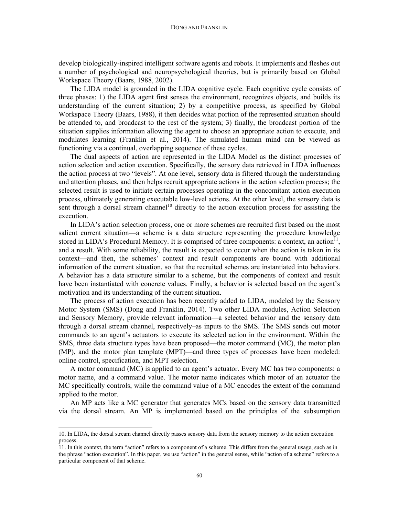develop biologically-inspired intelligent software agents and robots. It implements and fleshes out a number of psychological and neuropsychological theories, but is primarily based on Global Workspace Theory (Baars, 1988, 2002).

The LIDA model is grounded in the LIDA cognitive cycle. Each cognitive cycle consists of three phases: 1) the LIDA agent first senses the environment, recognizes objects, and builds its understanding of the current situation; 2) by a competitive process, as specified by Global Workspace Theory (Baars, 1988), it then decides what portion of the represented situation should be attended to, and broadcast to the rest of the system; 3) finally, the broadcast portion of the situation supplies information allowing the agent to choose an appropriate action to execute, and modulates learning (Franklin et al., 2014). The simulated human mind can be viewed as functioning via a continual, overlapping sequence of these cycles.

The dual aspects of action are represented in the LIDA Model as the distinct processes of action selection and action execution. Specifically, the sensory data retrieved in LIDA influences the action process at two "levels". At one level, sensory data is filtered through the understanding and attention phases, and then helps recruit appropriate actions in the action selection process; the selected result is used to initiate certain processes operating in the concomitant action execution process, ultimately generating executable low-level actions. At the other level, the sensory data is sent through a dorsal stream channel<sup>10</sup> directly to the action execution process for assisting the execution.

In LIDA's action selection process, one or more schemes are recruited first based on the most salient current situation—a scheme is a data structure representing the procedure knowledge stored in LIDA's Procedural Memory. It is comprised of three components: a context, an action $1<sup>1</sup>$ , and a result. With some reliability, the result is expected to occur when the action is taken in its context—and then, the schemes' context and result components are bound with additional information of the current situation, so that the recruited schemes are instantiated into behaviors. A behavior has a data structure similar to a scheme, but the components of context and result have been instantiated with concrete values. Finally, a behavior is selected based on the agent's motivation and its understanding of the current situation.

The process of action execution has been recently added to LIDA, modeled by the Sensory Motor System (SMS) (Dong and Franklin, 2014). Two other LIDA modules, Action Selection and Sensory Memory, provide relevant information—a selected behavior and the sensory data through a dorsal stream channel, respectively–as inputs to the SMS. The SMS sends out motor commands to an agent's actuators to execute its selected action in the environment. Within the SMS, three data structure types have been proposed—the motor command (MC), the motor plan (MP), and the motor plan template (MPT)—and three types of processes have been modeled: online control, specification, and MPT selection.

A motor command (MC) is applied to an agent's actuator. Every MC has two components: a motor name, and a command value. The motor name indicates which motor of an actuator the MC specifically controls, while the command value of a MC encodes the extent of the command applied to the motor.

An MP acts like a MC generator that generates MCs based on the sensory data transmitted via the dorsal stream. An MP is implemented based on the principles of the subsumption

1

<sup>10.</sup> In LIDA, the dorsal stream channel directly passes sensory data from the sensory memory to the action execution process.

<sup>11.</sup> In this context, the term "action" refers to a component of a scheme. This differs from the general usage, such as in the phrase "action execution". In this paper, we use "action" in the general sense, while "action of a scheme" refers to a particular component of that scheme.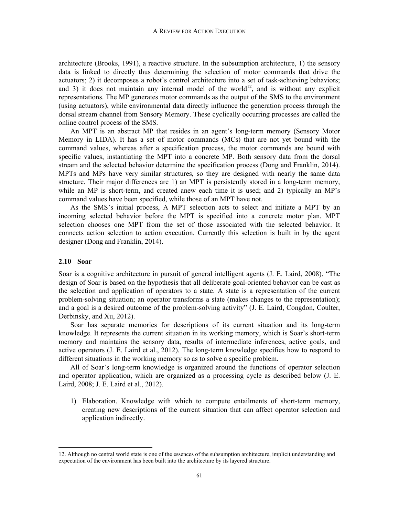architecture (Brooks, 1991), a reactive structure. In the subsumption architecture, 1) the sensory data is linked to directly thus determining the selection of motor commands that drive the actuators; 2) it decomposes a robot's control architecture into a set of task-achieving behaviors; and 3) it does not maintain any internal model of the world<sup>12</sup>, and is without any explicit representations. The MP generates motor commands as the output of the SMS to the environment (using actuators), while environmental data directly influence the generation process through the dorsal stream channel from Sensory Memory. These cyclically occurring processes are called the online control process of the SMS.

An MPT is an abstract MP that resides in an agent's long-term memory (Sensory Motor Memory in LIDA). It has a set of motor commands (MCs) that are not yet bound with the command values, whereas after a specification process, the motor commands are bound with specific values, instantiating the MPT into a concrete MP. Both sensory data from the dorsal stream and the selected behavior determine the specification process (Dong and Franklin, 2014). MPTs and MPs have very similar structures, so they are designed with nearly the same data structure. Their major differences are 1) an MPT is persistently stored in a long-term memory, while an MP is short-term, and created anew each time it is used; and 2) typically an MP's command values have been specified, while those of an MPT have not.

As the SMS's initial process, A MPT selection acts to select and initiate a MPT by an incoming selected behavior before the MPT is specified into a concrete motor plan. MPT selection chooses one MPT from the set of those associated with the selected behavior. It connects action selection to action execution. Currently this selection is built in by the agent designer (Dong and Franklin, 2014).

#### **2.10 Soar**

-

Soar is a cognitive architecture in pursuit of general intelligent agents (J. E. Laird, 2008). "The design of Soar is based on the hypothesis that all deliberate goal-oriented behavior can be cast as the selection and application of operators to a state. A state is a representation of the current problem-solving situation; an operator transforms a state (makes changes to the representation); and a goal is a desired outcome of the problem-solving activity" (J. E. Laird, Congdon, Coulter, Derbinsky, and Xu, 2012).

Soar has separate memories for descriptions of its current situation and its long-term knowledge. It represents the current situation in its working memory, which is Soar's short-term memory and maintains the sensory data, results of intermediate inferences, active goals, and active operators (J. E. Laird et al., 2012). The long-term knowledge specifies how to respond to different situations in the working memory so as to solve a specific problem.

All of Soar's long-term knowledge is organized around the functions of operator selection and operator application, which are organized as a processing cycle as described below (J. E. Laird, 2008; J. E. Laird et al., 2012).

1) Elaboration. Knowledge with which to compute entailments of short-term memory, creating new descriptions of the current situation that can affect operator selection and application indirectly.

<sup>12.</sup> Although no central world state is one of the essences of the subsumption architecture, implicit understanding and expectation of the environment has been built into the architecture by its layered structure.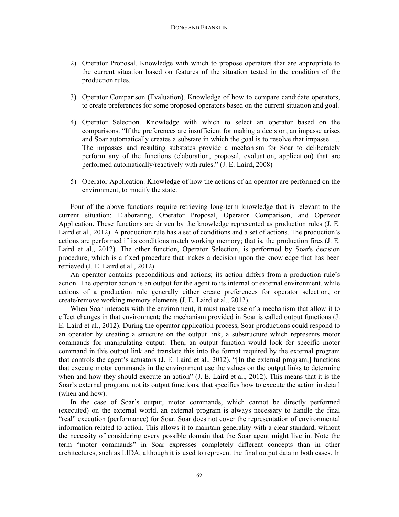- 2) Operator Proposal. Knowledge with which to propose operators that are appropriate to the current situation based on features of the situation tested in the condition of the production rules.
- 3) Operator Comparison (Evaluation). Knowledge of how to compare candidate operators, to create preferences for some proposed operators based on the current situation and goal.
- 4) Operator Selection. Knowledge with which to select an operator based on the comparisons. "If the preferences are insufficient for making a decision, an impasse arises and Soar automatically creates a substate in which the goal is to resolve that impasse. … The impasses and resulting substates provide a mechanism for Soar to deliberately perform any of the functions (elaboration, proposal, evaluation, application) that are performed automatically/reactively with rules." (J. E. Laird, 2008)
- 5) Operator Application. Knowledge of how the actions of an operator are performed on the environment, to modify the state.

Four of the above functions require retrieving long-term knowledge that is relevant to the current situation: Elaborating, Operator Proposal, Operator Comparison, and Operator Application. These functions are driven by the knowledge represented as production rules (J. E. Laird et al., 2012). A production rule has a set of conditions and a set of actions. The production's actions are performed if its conditions match working memory; that is, the production fires (J. E. Laird et al., 2012). The other function, Operator Selection, is performed by Soar's decision procedure, which is a fixed procedure that makes a decision upon the knowledge that has been retrieved (J. E. Laird et al., 2012).

An operator contains preconditions and actions; its action differs from a production rule's action. The operator action is an output for the agent to its internal or external environment, while actions of a production rule generally either create preferences for operator selection, or create/remove working memory elements (J. E. Laird et al., 2012).

When Soar interacts with the environment, it must make use of a mechanism that allow it to effect changes in that environment; the mechanism provided in Soar is called output functions (J. E. Laird et al., 2012). During the operator application process, Soar productions could respond to an operator by creating a structure on the output link, a substructure which represents motor commands for manipulating output. Then, an output function would look for specific motor command in this output link and translate this into the format required by the external program that controls the agent's actuators (J. E. Laird et al., 2012). "[In the external program,] functions that execute motor commands in the environment use the values on the output links to determine when and how they should execute an action" (J. E. Laird et al., 2012). This means that it is the Soar's external program, not its output functions, that specifies how to execute the action in detail (when and how).

In the case of Soar's output, motor commands, which cannot be directly performed (executed) on the external world, an external program is always necessary to handle the final "real" execution (performance) for Soar. Soar does not cover the representation of environmental information related to action. This allows it to maintain generality with a clear standard, without the necessity of considering every possible domain that the Soar agent might live in. Note the term "motor commands" in Soar expresses completely different concepts than in other architectures, such as LIDA, although it is used to represent the final output data in both cases. In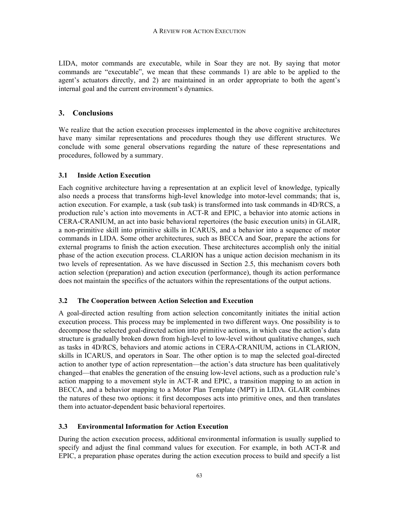LIDA, motor commands are executable, while in Soar they are not. By saying that motor commands are "executable", we mean that these commands 1) are able to be applied to the agent's actuators directly, and 2) are maintained in an order appropriate to both the agent's internal goal and the current environment's dynamics.

# **3. Conclusions**

We realize that the action execution processes implemented in the above cognitive architectures have many similar representations and procedures though they use different structures. We conclude with some general observations regarding the nature of these representations and procedures, followed by a summary.

# **3.1 Inside Action Execution**

Each cognitive architecture having a representation at an explicit level of knowledge, typically also needs a process that transforms high-level knowledge into motor-level commands; that is, action execution. For example, a task (sub task) is transformed into task commands in 4D/RCS, a production rule's action into movements in ACT-R and EPIC, a behavior into atomic actions in CERA-CRANIUM, an act into basic behavioral repertoires (the basic execution units) in GLAIR, a non-primitive skill into primitive skills in ICARUS, and a behavior into a sequence of motor commands in LIDA. Some other architectures, such as BECCA and Soar, prepare the actions for external programs to finish the action execution. These architectures accomplish only the initial phase of the action execution process. CLARION has a unique action decision mechanism in its two levels of representation. As we have discussed in Section 2.5, this mechanism covers both action selection (preparation) and action execution (performance), though its action performance does not maintain the specifics of the actuators within the representations of the output actions.

# **3.2 The Cooperation between Action Selection and Execution**

A goal-directed action resulting from action selection concomitantly initiates the initial action execution process. This process may be implemented in two different ways. One possibility is to decompose the selected goal-directed action into primitive actions, in which case the action's data structure is gradually broken down from high-level to low-level without qualitative changes, such as tasks in 4D/RCS, behaviors and atomic actions in CERA-CRANIUM, actions in CLARION, skills in ICARUS, and operators in Soar. The other option is to map the selected goal-directed action to another type of action representation—the action's data structure has been qualitatively changed—that enables the generation of the ensuing low-level actions, such as a production rule's action mapping to a movement style in ACT-R and EPIC, a transition mapping to an action in BECCA, and a behavior mapping to a Motor Plan Template (MPT) in LIDA. GLAIR combines the natures of these two options: it first decomposes acts into primitive ones, and then translates them into actuator-dependent basic behavioral repertoires.

# **3.3 Environmental Information for Action Execution**

During the action execution process, additional environmental information is usually supplied to specify and adjust the final command values for execution. For example, in both ACT-R and EPIC, a preparation phase operates during the action execution process to build and specify a list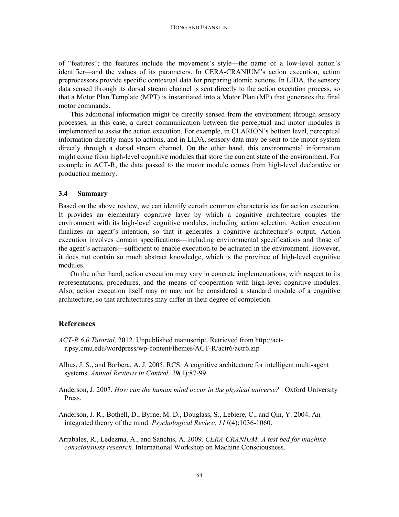of "features"; the features include the movement's style—the name of a low-level action's identifier—and the values of its parameters. In CERA-CRANIUM's action execution, action preprocessors provide specific contextual data for preparing atomic actions. In LIDA, the sensory data sensed through its dorsal stream channel is sent directly to the action execution process, so that a Motor Plan Template (MPT) is instantiated into a Motor Plan (MP) that generates the final motor commands.

This additional information might be directly sensed from the environment through sensory processes; in this case, a direct communication between the perceptual and motor modules is implemented to assist the action execution. For example, in CLARION's bottom level, perceptual information directly maps to actions, and in LIDA, sensory data may be sent to the motor system directly through a dorsal stream channel. On the other hand, this environmental information might come from high-level cognitive modules that store the current state of the environment. For example in ACT-R, the data passed to the motor module comes from high-level declarative or production memory.

# **3.4 Summary**

Based on the above review, we can identify certain common characteristics for action execution. It provides an elementary cognitive layer by which a cognitive architecture couples the environment with its high-level cognitive modules, including action selection. Action execution finalizes an agent's intention, so that it generates a cognitive architecture's output. Action execution involves domain specifications—including environmental specifications and those of the agent's actuators—sufficient to enable execution to be actuated in the environment. However, it does not contain so much abstract knowledge, which is the province of high-level cognitive modules.

On the other hand, action execution may vary in concrete implementations, with respect to its representations, procedures, and the means of cooperation with high-level cognitive modules. Also, action execution itself may or may not be considered a standard module of a cognitive architecture, so that architectures may differ in their degree of completion.

#### **References**

- *ACT-R 6.0 Tutorial*. 2012. Unpublished manuscript. Retrieved from http://actr.psy.cmu.edu/wordpress/wp-content/themes/ACT-R/actr6/actr6.zip
- Albus, J. S., and Barbera, A. J. 2005. RCS: A cognitive architecture for intelligent multi-agent systems. *Annual Reviews in Control, 29*(1):87-99.
- Anderson, J. 2007. *How can the human mind occur in the physical universe?* : Oxford University Press.
- Anderson, J. R., Bothell, D., Byrne, M. D., Douglass, S., Lebiere, C., and Qin, Y. 2004. An integrated theory of the mind. *Psychological Review, 111*(4):1036-1060.
- Arrabales, R., Ledezma, A., and Sanchis, A. 2009. *CERA-CRANIUM: A test bed for machine consciousness research*. International Workshop on Machine Consciousness.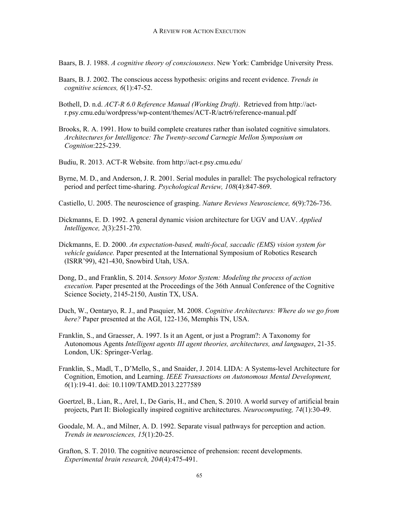Baars, B. J. 1988. *A cognitive theory of consciousness*. New York: Cambridge University Press.

- Baars, B. J. 2002. The conscious access hypothesis: origins and recent evidence. *Trends in cognitive sciences, 6*(1):47-52.
- Bothell, D. n.d. *ACT-R 6.0 Reference Manual (Working Draft)*. Retrieved from http://actr.psy.cmu.edu/wordpress/wp-content/themes/ACT-R/actr6/reference-manual.pdf
- Brooks, R. A. 1991. How to build complete creatures rather than isolated cognitive simulators. *Architectures for Intelligence: The Twenty-second Carnegie Mellon Symposium on Cognition*:225-239.
- Budiu, R. 2013. ACT-R Website. from http://act-r.psy.cmu.edu/
- Byrne, M. D., and Anderson, J. R. 2001. Serial modules in parallel: The psychological refractory period and perfect time-sharing. *Psychological Review, 108*(4):847-869.
- Castiello, U. 2005. The neuroscience of grasping. *Nature Reviews Neuroscience, 6*(9):726-736.
- Dickmanns, E. D. 1992. A general dynamic vision architecture for UGV and UAV. *Applied Intelligence, 2*(3):251-270.
- Dickmanns, E. D. 2000. *An expectation-based, multi-focal, saccadic (EMS) vision system for vehicle guidance.* Paper presented at the International Symposium of Robotics Research (ISRR'99), 421-430, Snowbird Utah, USA.
- Dong, D., and Franklin, S. 2014. *Sensory Motor System: Modeling the process of action execution.* Paper presented at the Proceedings of the 36th Annual Conference of the Cognitive Science Society, 2145-2150, Austin TX, USA.
- Duch, W., Oentaryo, R. J., and Pasquier, M. 2008. *Cognitive Architectures: Where do we go from here?* Paper presented at the AGI, 122-136, Memphis TN, USA.
- Franklin, S., and Graesser, A. 1997. Is it an Agent, or just a Program?: A Taxonomy for Autonomous Agents *Intelligent agents III agent theories, architectures, and languages*, 21-35. London, UK: Springer-Verlag.
- Franklin, S., Madl, T., D'Mello, S., and Snaider, J. 2014. LIDA: A Systems-level Architecture for Cognition, Emotion, and Learning. *IEEE Transactions on Autonomous Mental Development, 6*(1):19-41. doi: 10.1109/TAMD.2013.2277589
- Goertzel, B., Lian, R., Arel, I., De Garis, H., and Chen, S. 2010. A world survey of artificial brain projects, Part II: Biologically inspired cognitive architectures. *Neurocomputing, 74*(1):30-49.
- Goodale, M. A., and Milner, A. D. 1992. Separate visual pathways for perception and action. *Trends in neurosciences, 15*(1):20-25.
- Grafton, S. T. 2010. The cognitive neuroscience of prehension: recent developments. *Experimental brain research, 204*(4):475-491.